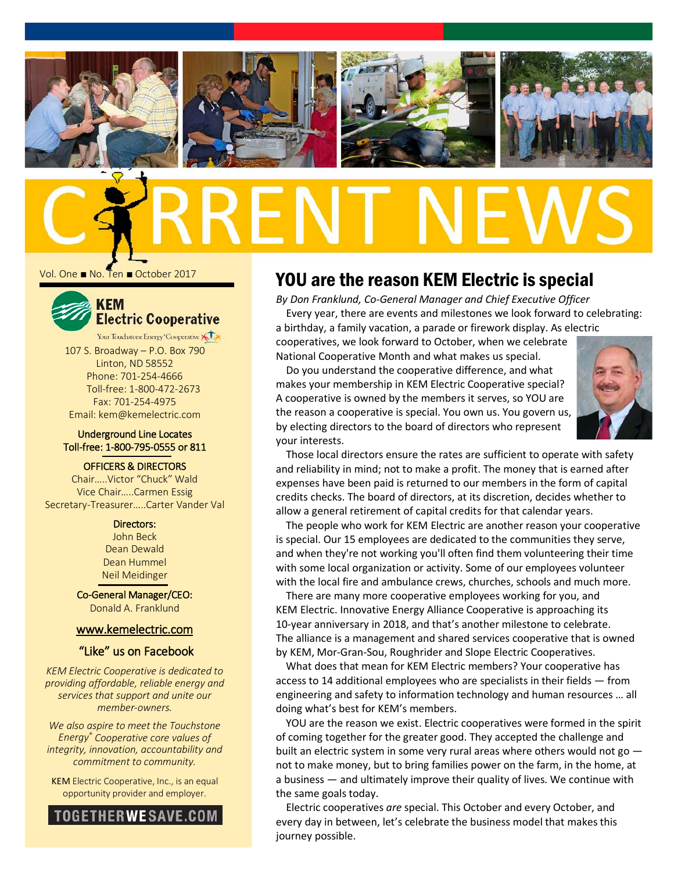







Vol. One ■ No. Ten ■ October 2017



107 S. Broadway – P.O. Box 790 Linton, ND 58552 Phone: 701-254-4666 Toll-free: 1-800-472-2673 Fax: 701-254-4975 Email: kem@kemelectric.com

#### Underground Line Locates Toll-free: 1-800-795-0555 or 811

OFFICERS & DIRECTORS

Chair…..Victor "Chuck" Wald Vice Chair…..Carmen Essig Secretary-Treasurer…..Carter Vander Val

> Directors: John Beck Dean Dewald Dean Hummel Neil Meidinger

Co-General Manager/CEO: Donald A. Franklund

#### [www.kemelectric.com](http://www.kemelectric.com/)

#### "Like" us on Facebook

*KEM Electric Cooperative is dedicated to providing affordable, reliable energy and services that support and unite our member-owners.*

*We also aspire to meet the Touchstone Energy® Cooperative core values of integrity, innovation, accountability and commitment to community.*

KEM Electric Cooperative, Inc., is an equal opportunity provider and employer.



# YOU are the reason KEM Electric is special

*By Don Franklund, Co-General Manager and Chief Executive Officer* Every year, there are events and milestones we look forward to celebrating:

a birthday, a family vacation, a parade or firework display. As electric cooperatives, we look forward to October, when we celebrate National Cooperative Month and what makes us special.

Do you understand the cooperative difference, and what makes your membership in KEM Electric Cooperative special? A cooperative is owned by the members it serves, so YOU are the reason a cooperative is special. You own us. You govern us, by electing directors to the board of directors who represent your interests.



Those local directors ensure the rates are sufficient to operate with safety and reliability in mind; not to make a profit. The money that is earned after expenses have been paid is returned to our members in the form of capital credits checks. The board of directors, at its discretion, decides whether to allow a general retirement of capital credits for that calendar years.

is special. Our 15 employees are dedicated to the communities they serve, The people who work for KEM Electric are another reason your cooperative and when they're not working you'll often find them volunteering their time with some local organization or activity. Some of our employees volunteer with the local fire and ambulance crews, churches, schools and much more.

There are many more cooperative employees working for you, and KEM Electric. Innovative Energy Alliance Cooperative is approaching its 10-year anniversary in 2018, and that's another milestone to celebrate. The alliance is a management and shared services cooperative that is owned by KEM, Mor-Gran-Sou, Roughrider and Slope Electric Cooperatives.

What does that mean for KEM Electric members? Your cooperative has access to 14 additional employees who are specialists in their fields — from engineering and safety to information technology and human resources … all doing what's best for KEM's members.

YOU are the reason we exist. Electric cooperatives were formed in the spirit of coming together for the greater good. They accepted the challenge and built an electric system in some very rural areas where others would not go not to make money, but to bring families power on the farm, in the home, at a business — and ultimately improve their quality of lives. We continue with the same goals today.

Electric cooperatives *are* special. This October and every October, and every day in between, let's celebrate the business model that makes this journey possible.